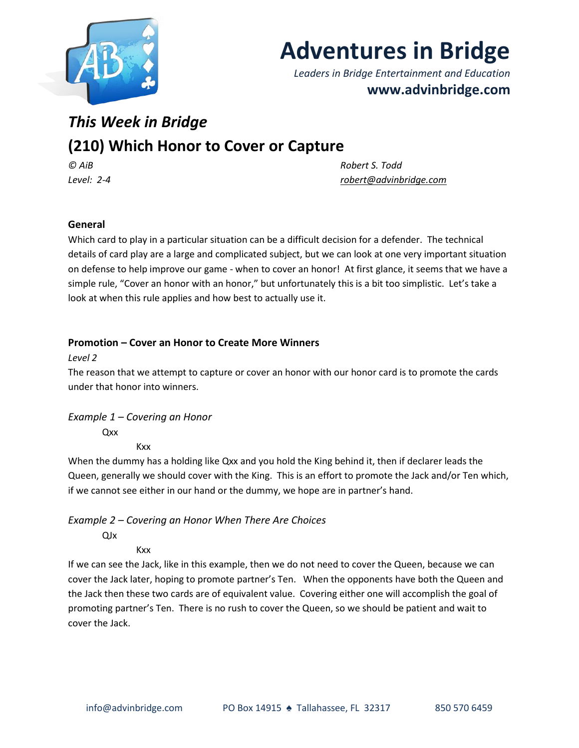

# **Adventures in Bridge**

*Leaders in Bridge Entertainment and Education* **www.advinbridge.com**

## *This Week in Bridge*

### **(210) Which Honor to Cover or Capture**

*© AiB Robert S. Todd Level: 2-4 [robert@advinbridge.com](mailto:robert@advinbridge.com)*

#### **General**

Which card to play in a particular situation can be a difficult decision for a defender. The technical details of card play are a large and complicated subject, but we can look at one very important situation on defense to help improve our game - when to cover an honor! At first glance, it seems that we have a simple rule, "Cover an honor with an honor," but unfortunately this is a bit too simplistic. Let's take a look at when this rule applies and how best to actually use it.

#### **Promotion – Cover an Honor to Create More Winners**

#### *Level 2*

The reason that we attempt to capture or cover an honor with our honor card is to promote the cards under that honor into winners.

*Example 1 – Covering an Honor*

Qxx

Kxx

When the dummy has a holding like Qxx and you hold the King behind it, then if declarer leads the Queen, generally we should cover with the King. This is an effort to promote the Jack and/or Ten which, if we cannot see either in our hand or the dummy, we hope are in partner's hand.

#### *Example 2 – Covering an Honor When There Are Choices*

QJx

Kxx

If we can see the Jack, like in this example, then we do not need to cover the Queen, because we can cover the Jack later, hoping to promote partner's Ten. When the opponents have both the Queen and the Jack then these two cards are of equivalent value. Covering either one will accomplish the goal of promoting partner's Ten. There is no rush to cover the Queen, so we should be patient and wait to cover the Jack.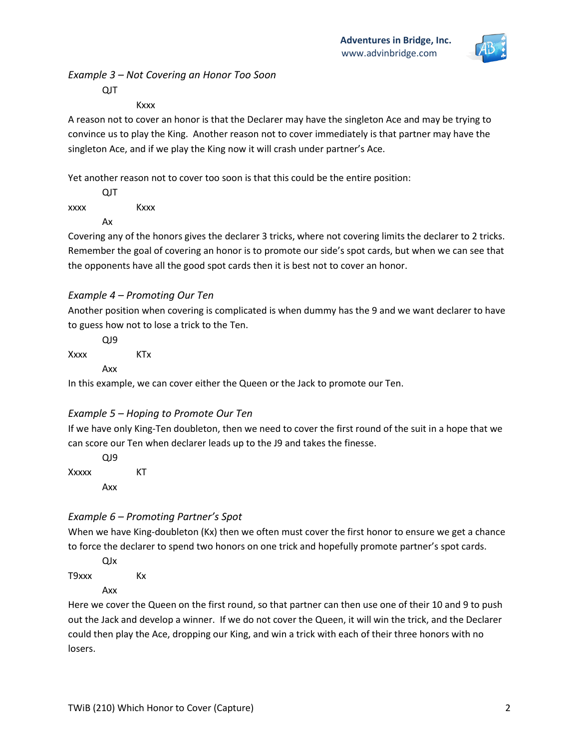

#### *Example 3 – Not Covering an Honor Too Soon*

QJT

#### **Kxxx**

A reason not to cover an honor is that the Declarer may have the singleton Ace and may be trying to convince us to play the King. Another reason not to cover immediately is that partner may have the singleton Ace, and if we play the King now it will crash under partner's Ace.

Yet another reason not to cover too soon is that this could be the entire position:

|      | QJT |      |
|------|-----|------|
| xxxx |     | Kxxx |
|      | Ax  |      |

Covering any of the honors gives the declarer 3 tricks, where not covering limits the declarer to 2 tricks. Remember the goal of covering an honor is to promote our side's spot cards, but when we can see that the opponents have all the good spot cards then it is best not to cover an honor.

#### *Example 4 – Promoting Our Ten*

Another position when covering is complicated is when dummy has the 9 and we want declarer to have to guess how not to lose a trick to the Ten.

|      | QJ9 |     |  |
|------|-----|-----|--|
| Xxxx |     | KTx |  |
|      | Axx |     |  |

In this example, we can cover either the Queen or the Jack to promote our Ten.

#### *Example 5 – Hoping to Promote Our Ten*

If we have only King-Ten doubleton, then we need to cover the first round of the suit in a hope that we can score our Ten when declarer leads up to the J9 and takes the finesse.

QJ9 Xxxxx KT Axx

#### *Example 6 – Promoting Partner's Spot*

When we have King-doubleton (Kx) then we often must cover the first honor to ensure we get a chance to force the declarer to spend two honors on one trick and hopefully promote partner's spot cards.

QJx T9xxx Kx

Axx

Here we cover the Queen on the first round, so that partner can then use one of their 10 and 9 to push out the Jack and develop a winner. If we do not cover the Queen, it will win the trick, and the Declarer could then play the Ace, dropping our King, and win a trick with each of their three honors with no losers.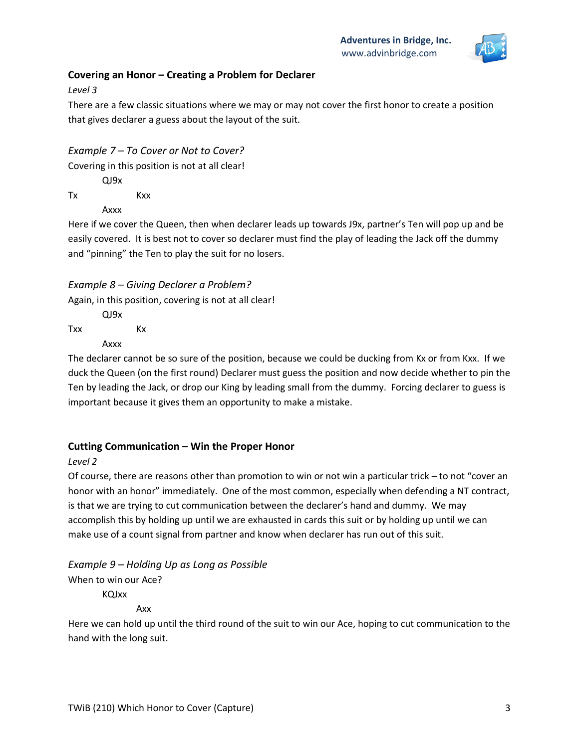

#### **Covering an Honor – Creating a Problem for Declarer**

*Level 3*

There are a few classic situations where we may or may not cover the first honor to create a position that gives declarer a guess about the layout of the suit.

*Example 7 – To Cover or Not to Cover?*

Covering in this position is not at all clear!

QJ9x

Tx Kxx

Axxx

Here if we cover the Queen, then when declarer leads up towards J9x, partner's Ten will pop up and be easily covered. It is best not to cover so declarer must find the play of leading the Jack off the dummy and "pinning" the Ten to play the suit for no losers.

#### *Example 8 – Giving Declarer a Problem?*

Again, in this position, covering is not at all clear!

QJ9x Txx Kx

Axxx

The declarer cannot be so sure of the position, because we could be ducking from Kx or from Kxx. If we duck the Queen (on the first round) Declarer must guess the position and now decide whether to pin the Ten by leading the Jack, or drop our King by leading small from the dummy. Forcing declarer to guess is important because it gives them an opportunity to make a mistake.

#### **Cutting Communication – Win the Proper Honor**

#### *Level 2*

Of course, there are reasons other than promotion to win or not win a particular trick – to not "cover an honor with an honor" immediately. One of the most common, especially when defending a NT contract, is that we are trying to cut communication between the declarer's hand and dummy. We may accomplish this by holding up until we are exhausted in cards this suit or by holding up until we can make use of a count signal from partner and know when declarer has run out of this suit.

*Example 9 – Holding Up as Long as Possible* When to win our Ace? KQJxx

Axx

Here we can hold up until the third round of the suit to win our Ace, hoping to cut communication to the hand with the long suit.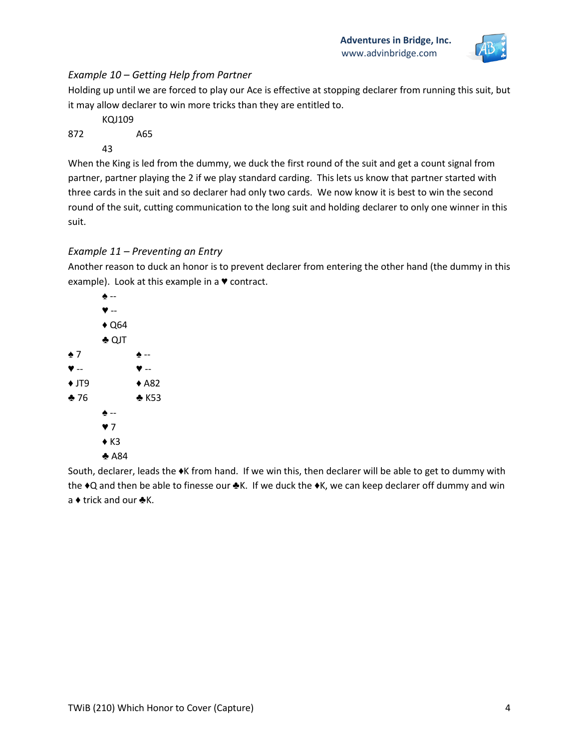

#### *Example 10 – Getting Help from Partner*

Holding up until we are forced to play our Ace is effective at stopping declarer from running this suit, but it may allow declarer to win more tricks than they are entitled to.

- KQJ109 872 A65
	- 43

When the King is led from the dummy, we duck the first round of the suit and get a count signal from partner, partner playing the 2 if we play standard carding. This lets us know that partner started with three cards in the suit and so declarer had only two cards. We now know it is best to win the second round of the suit, cutting communication to the long suit and holding declarer to only one winner in this suit.

#### *Example 11 – Preventing an Entry*

Another reason to duck an honor is to prevent declarer from entering the other hand (the dummy in this example). Look at this example in a ♥ contract.



South, declarer, leads the ♦K from hand. If we win this, then declarer will be able to get to dummy with the ♦Q and then be able to finesse our ♣K. If we duck the ♦K, we can keep declarer off dummy and win a ♦ trick and our ♣K.